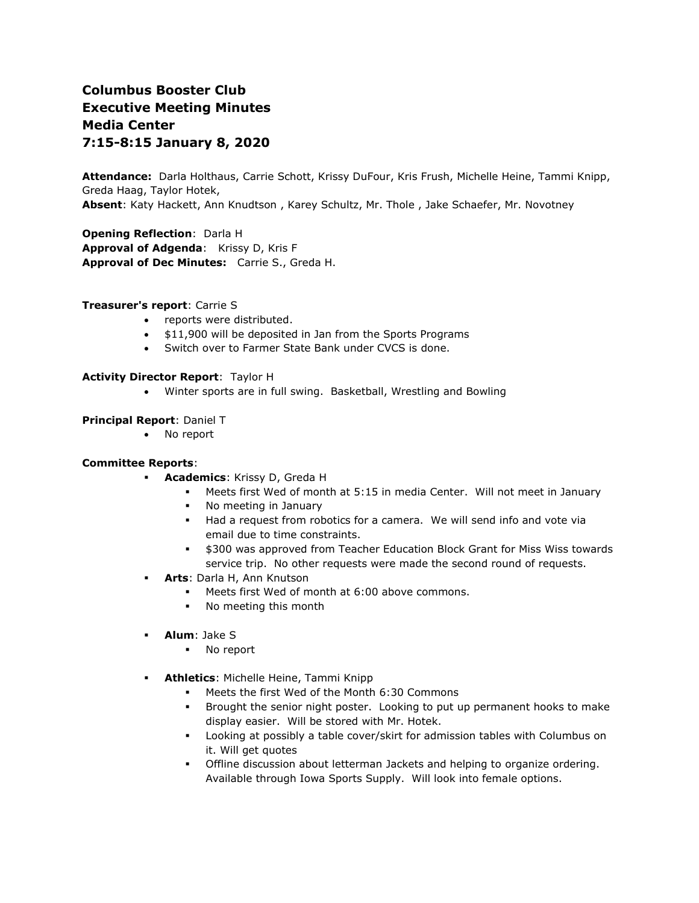# **Columbus Booster Club Executive Meeting Minutes Media Center 7:15-8:15 January 8, 2020**

**Attendance:** Darla Holthaus, Carrie Schott, Krissy DuFour, Kris Frush, Michelle Heine, Tammi Knipp, Greda Haag, Taylor Hotek, **Absent**: Katy Hackett, Ann Knudtson , Karey Schultz, Mr. Thole , Jake Schaefer, Mr. Novotney

**Opening Reflection**: Darla H **Approval of Adgenda**: Krissy D, Kris F

**Approval of Dec Minutes:** Carrie S., Greda H.

#### **Treasurer's report**: Carrie S

- reports were distributed.
- \$11,900 will be deposited in Jan from the Sports Programs
- Switch over to Farmer State Bank under CVCS is done.

## **Activity Director Report**: Taylor H

• Winter sports are in full swing. Basketball, Wrestling and Bowling

#### **Principal Report**: Daniel T

• No report

#### **Committee Reports**:

- **Academics**: Krissy D, Greda H
	- Meets first Wed of month at 5:15 in media Center. Will not meet in January
	- No meeting in January
	- Had a request from robotics for a camera. We will send info and vote via email due to time constraints.
	- \$300 was approved from Teacher Education Block Grant for Miss Wiss towards service trip. No other requests were made the second round of requests.
- **Arts**: Darla H, Ann Knutson
	- Meets first Wed of month at 6:00 above commons.
	- No meeting this month
- **Alum**: Jake S
	- No report
- **Athletics**: Michelle Heine, Tammi Knipp
	- Meets the first Wed of the Month 6:30 Commons
	- Brought the senior night poster. Looking to put up permanent hooks to make display easier. Will be stored with Mr. Hotek.
	- Looking at possibly a table cover/skirt for admission tables with Columbus on it. Will get quotes
	- Offline discussion about letterman Jackets and helping to organize ordering. Available through Iowa Sports Supply. Will look into female options.